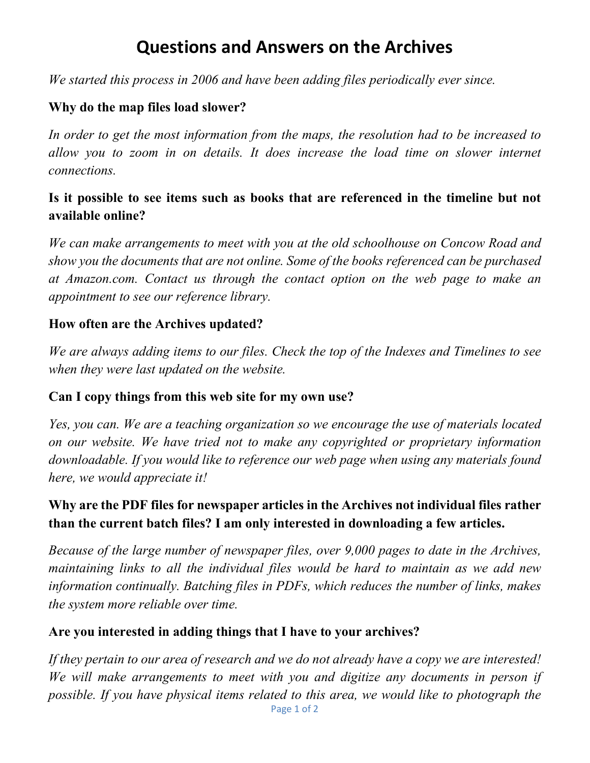# **Questions and Answers on the Archives**

*We started this process in 2006 and have been adding files periodically ever since.*

## **Why do the map files load slower?**

*In order to get the most information from the maps, the resolution had to be increased to allow you to zoom in on details. It does increase the load time on slower internet connections.*

## **Is it possible to see items such as books that are referenced in the timeline but not available online?**

*We can make arrangements to meet with you at the old schoolhouse on Concow Road and show you the documents that are not online. Some of the books referenced can be purchased at Amazon.com. Contact us through the contact option on the web page to make an appointment to see our reference library.*

#### **How often are the Archives updated?**

*We are always adding items to our files. Check the top of the Indexes and Timelines to see when they were last updated on the website.*

#### **Can I copy things from this web site for my own use?**

*Yes, you can. We are a teaching organization so we encourage the use of materials located on our website. We have tried not to make any copyrighted or proprietary information downloadable. If you would like to reference our web page when using any materials found here, we would appreciate it!*

## **Why are the PDF files for newspaper articles in the Archives not individual files rather than the current batch files? I am only interested in downloading a few articles.**

*Because of the large number of newspaper files, over 9,000 pages to date in the Archives, maintaining links to all the individual files would be hard to maintain as we add new information continually. Batching files in PDFs, which reduces the number of links, makes the system more reliable over time.*

#### **Are you interested in adding things that I have to your archives?**

Page 1 of 2 *If they pertain to our area of research and we do not already have a copy we are interested! We will make arrangements to meet with you and digitize any documents in person if possible. If you have physical items related to this area, we would like to photograph the*